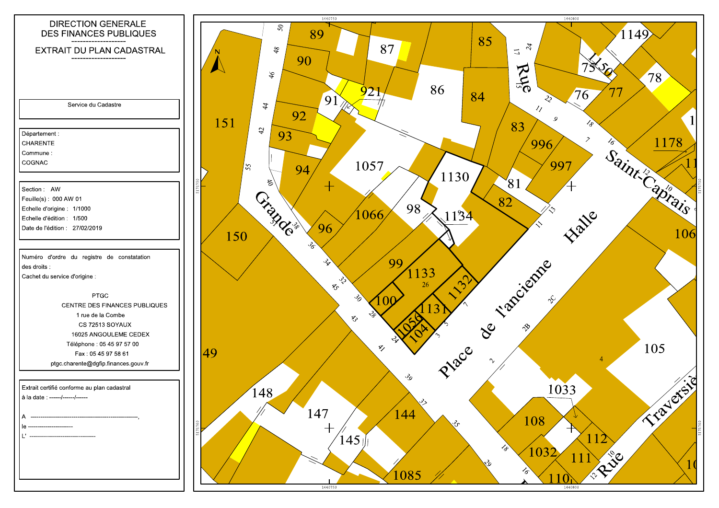